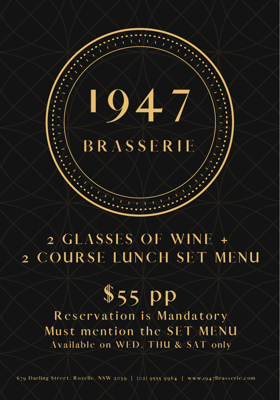## **B R A S S E R I E**

**1 9 4 7**

### **2 G LAS S E S O F WI N E + 2 C O U R S E L U N C H S E T M E N U**

# **\$ 5 5 p p**

**R e s e r v a t i o n i s M a n d a t o r y**  $M$  **u** st mention the SET MENU **Av a i l a b l e o n WE D , T H U & SA T o n l y**

679 Darling Street, Rozelle, NSW 2039 |  $(02)$  9555 9964 | www.1947Brasserie.com